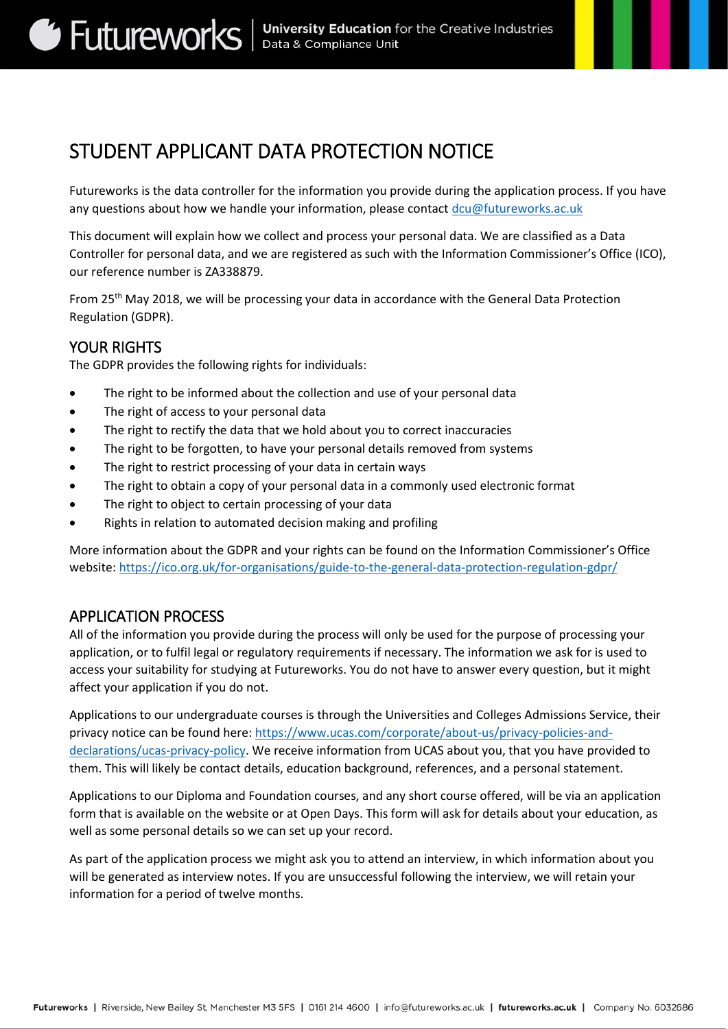# STUDENT APPLICANT DATA PROTECTION NOTICE

Futureworks is the data controller for the information you provide during the application process. If you have any questions about how we handle your information, please contact [dcu@futureworks.ac.uk](mailto:dcu@futureworks.ac.uk)

This document will explain how we collect and process your personal data. We are classified as a Data Controller for personal data, and we are registered as such with the Information Commissioner's Office (ICO), our reference number is ZA338879.

From 25th May 2018, we will be processing your data in accordance with the General Data Protection Regulation (GDPR).

# YOUR RIGHTS

The GDPR provides the following rights for individuals:

- The right to be informed about the collection and use of your personal data
- The right of access to your personal data
- The right to rectify the data that we hold about you to correct inaccuracies
- The right to be forgotten, to have your personal details removed from systems
- The right to restrict processing of your data in certain ways
- The right to obtain a copy of your personal data in a commonly used electronic format
- The right to object to certain processing of your data
- Rights in relation to automated decision making and profiling

More information about the GDPR and your rights can be found on the Information Commissioner's Office website:<https://ico.org.uk/for-organisations/guide-to-the-general-data-protection-regulation-gdpr/>

#### APPLICATION PROCESS

All of the information you provide during the process will only be used for the purpose of processing your application, or to fulfil legal or regulatory requirements if necessary. The information we ask for is used to access your suitability for studying at Futureworks. You do not have to answer every question, but it might affect your application if you do not.

Applications to our undergraduate courses is through the Universities and Colleges Admissions Service, their privacy notice can be found here[: https://www.ucas.com/corporate/about-us/privacy-policies-and](https://www.ucas.com/corporate/about-us/privacy-policies-and-declarations/ucas-privacy-policy)[declarations/ucas-privacy-policy.](https://www.ucas.com/corporate/about-us/privacy-policies-and-declarations/ucas-privacy-policy) We receive information from UCAS about you, that you have provided to them. This will likely be contact details, education background, references, and a personal statement.

Applications to our Diploma and Foundation courses, and any short course offered, will be via an application form that is available on the website or at Open Days. This form will ask for details about your education, as well as some personal details so we can set up your record.

As part of the application process we might ask you to attend an interview, in which information about you will be generated as interview notes. If you are unsuccessful following the interview, we will retain your information for a period of twelve months.